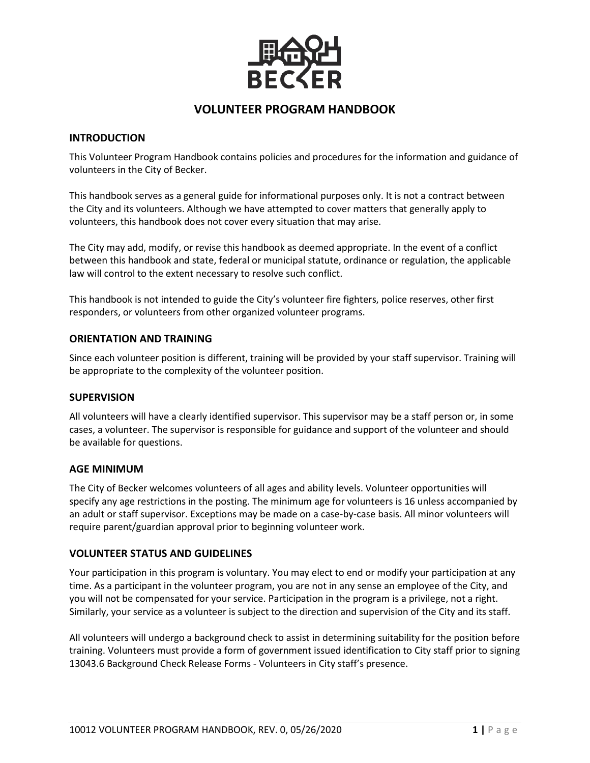

# **VOLUNTEER PROGRAM HANDBOOK**

#### **INTRODUCTION**

This Volunteer Program Handbook contains policies and procedures for the information and guidance of volunteers in the City of Becker.

This handbook serves as a general guide for informational purposes only. It is not a contract between the City and its volunteers. Although we have attempted to cover matters that generally apply to volunteers, this handbook does not cover every situation that may arise.

The City may add, modify, or revise this handbook as deemed appropriate. In the event of a conflict between this handbook and state, federal or municipal statute, ordinance or regulation, the applicable law will control to the extent necessary to resolve such conflict.

This handbook is not intended to guide the City's volunteer fire fighters, police reserves, other first responders, or volunteers from other organized volunteer programs.

#### **ORIENTATION AND TRAINING**

Since each volunteer position is different, training will be provided by your staff supervisor. Training will be appropriate to the complexity of the volunteer position.

#### **SUPERVISION**

All volunteers will have a clearly identified supervisor. This supervisor may be a staff person or, in some cases, a volunteer. The supervisor is responsible for guidance and support of the volunteer and should be available for questions.

#### **AGE MINIMUM**

The City of Becker welcomes volunteers of all ages and ability levels. Volunteer opportunities will specify any age restrictions in the posting. The minimum age for volunteers is 16 unless accompanied by an adult or staff supervisor. Exceptions may be made on a case-by-case basis. All minor volunteers will require parent/guardian approval prior to beginning volunteer work.

#### **VOLUNTEER STATUS AND GUIDELINES**

Your participation in this program is voluntary. You may elect to end or modify your participation at any time. As a participant in the volunteer program, you are not in any sense an employee of the City, and you will not be compensated for your service. Participation in the program is a privilege, not a right. Similarly, your service as a volunteer is subject to the direction and supervision of the City and its staff.

All volunteers will undergo a background check to assist in determining suitability for the position before training. Volunteers must provide a form of government issued identification to City staff prior to signing 13043.6 Background Check Release Forms - Volunteers in City staff's presence.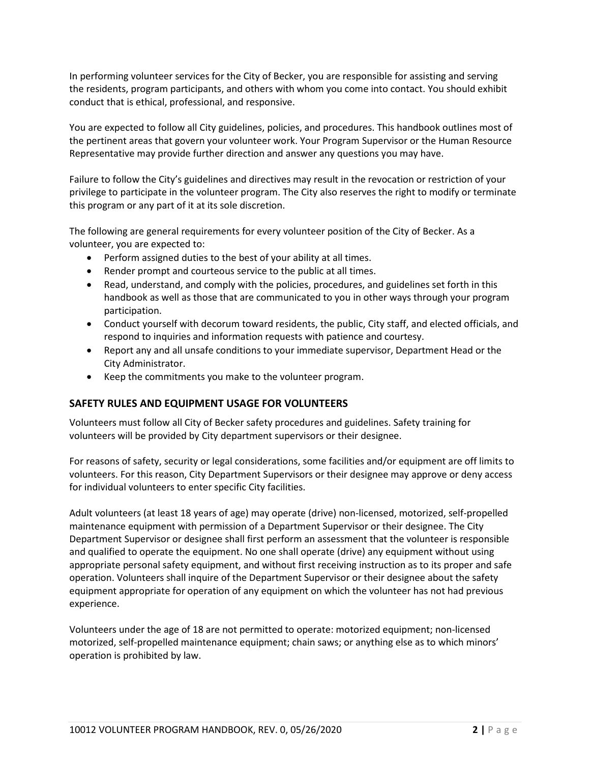In performing volunteer services for the City of Becker, you are responsible for assisting and serving the residents, program participants, and others with whom you come into contact. You should exhibit conduct that is ethical, professional, and responsive.

You are expected to follow all City guidelines, policies, and procedures. This handbook outlines most of the pertinent areas that govern your volunteer work. Your Program Supervisor or the Human Resource Representative may provide further direction and answer any questions you may have.

Failure to follow the City's guidelines and directives may result in the revocation or restriction of your privilege to participate in the volunteer program. The City also reserves the right to modify or terminate this program or any part of it at its sole discretion.

The following are general requirements for every volunteer position of the City of Becker. As a volunteer, you are expected to:

- Perform assigned duties to the best of your ability at all times.
- Render prompt and courteous service to the public at all times.
- Read, understand, and comply with the policies, procedures, and guidelines set forth in this handbook as well as those that are communicated to you in other ways through your program participation.
- Conduct yourself with decorum toward residents, the public, City staff, and elected officials, and respond to inquiries and information requests with patience and courtesy.
- Report any and all unsafe conditions to your immediate supervisor, Department Head or the City Administrator.
- Keep the commitments you make to the volunteer program.

## **SAFETY RULES AND EQUIPMENT USAGE FOR VOLUNTEERS**

Volunteers must follow all City of Becker safety procedures and guidelines. Safety training for volunteers will be provided by City department supervisors or their designee.

For reasons of safety, security or legal considerations, some facilities and/or equipment are off limits to volunteers. For this reason, City Department Supervisors or their designee may approve or deny access for individual volunteers to enter specific City facilities.

Adult volunteers (at least 18 years of age) may operate (drive) non-licensed, motorized, self-propelled maintenance equipment with permission of a Department Supervisor or their designee. The City Department Supervisor or designee shall first perform an assessment that the volunteer is responsible and qualified to operate the equipment. No one shall operate (drive) any equipment without using appropriate personal safety equipment, and without first receiving instruction as to its proper and safe operation. Volunteers shall inquire of the Department Supervisor or their designee about the safety equipment appropriate for operation of any equipment on which the volunteer has not had previous experience.

Volunteers under the age of 18 are not permitted to operate: motorized equipment; non-licensed motorized, self-propelled maintenance equipment; chain saws; or anything else as to which minors' operation is prohibited by law.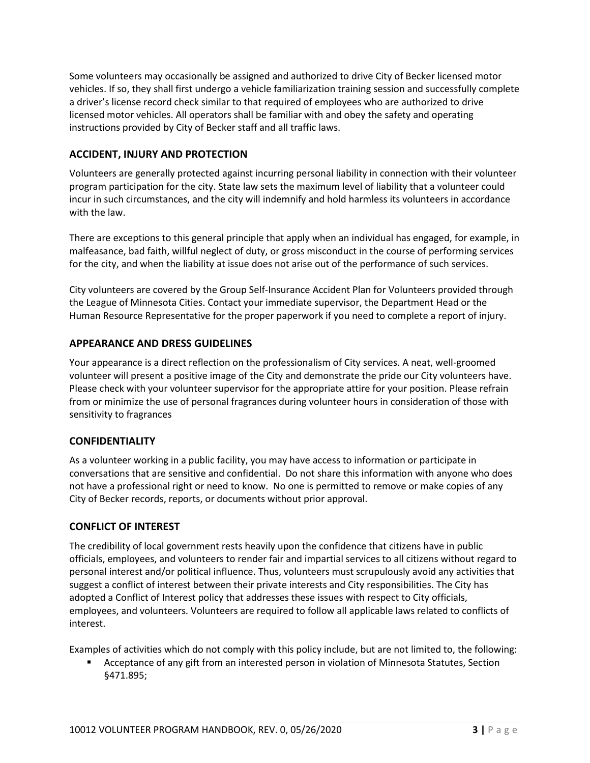Some volunteers may occasionally be assigned and authorized to drive City of Becker licensed motor vehicles. If so, they shall first undergo a vehicle familiarization training session and successfully complete a driver's license record check similar to that required of employees who are authorized to drive licensed motor vehicles. All operators shall be familiar with and obey the safety and operating instructions provided by City of Becker staff and all traffic laws.

# **ACCIDENT, INJURY AND PROTECTION**

Volunteers are generally protected against incurring personal liability in connection with their volunteer program participation for the city. State law sets the maximum level of liability that a volunteer could incur in such circumstances, and the city will indemnify and hold harmless its volunteers in accordance with the law.

There are exceptions to this general principle that apply when an individual has engaged, for example, in malfeasance, bad faith, willful neglect of duty, or gross misconduct in the course of performing services for the city, and when the liability at issue does not arise out of the performance of such services.

City volunteers are covered by the Group Self-Insurance Accident Plan for Volunteers provided through the League of Minnesota Cities. Contact your immediate supervisor, the Department Head or the Human Resource Representative for the proper paperwork if you need to complete a report of injury.

# **APPEARANCE AND DRESS GUIDELINES**

Your appearance is a direct reflection on the professionalism of City services. A neat, well-groomed volunteer will present a positive image of the City and demonstrate the pride our City volunteers have. Please check with your volunteer supervisor for the appropriate attire for your position. Please refrain from or minimize the use of personal fragrances during volunteer hours in consideration of those with sensitivity to fragrances

## **CONFIDENTIALITY**

As a volunteer working in a public facility, you may have access to information or participate in conversations that are sensitive and confidential. Do not share this information with anyone who does not have a professional right or need to know. No one is permitted to remove or make copies of any City of Becker records, reports, or documents without prior approval.

## **CONFLICT OF INTEREST**

The credibility of local government rests heavily upon the confidence that citizens have in public officials, employees, and volunteers to render fair and impartial services to all citizens without regard to personal interest and/or political influence. Thus, volunteers must scrupulously avoid any activities that suggest a conflict of interest between their private interests and City responsibilities. The City has adopted a Conflict of Interest policy that addresses these issues with respect to City officials, employees, and volunteers. Volunteers are required to follow all applicable laws related to conflicts of interest.

Examples of activities which do not comply with this policy include, but are not limited to, the following:

**EXEC** Acceptance of any gift from an interested person in violation of Minnesota Statutes, Section §471.895;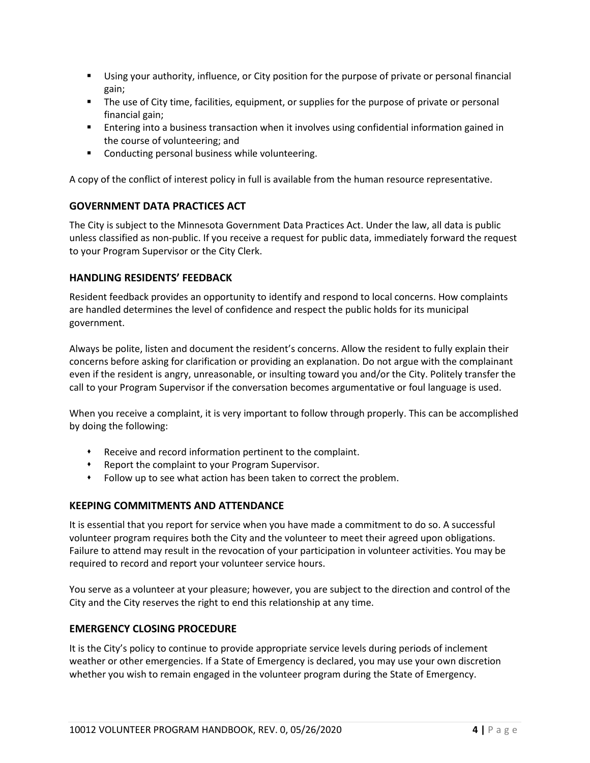- Using your authority, influence, or City position for the purpose of private or personal financial gain;
- **The use of City time, facilities, equipment, or supplies for the purpose of private or personal** financial gain;
- Entering into a business transaction when it involves using confidential information gained in the course of volunteering; and
- **EXECONDUCTION DETECTS** Conducting personal business while volunteering.

A copy of the conflict of interest policy in full is available from the human resource representative.

## **GOVERNMENT DATA PRACTICES ACT**

The City is subject to the Minnesota Government Data Practices Act. Under the law, all data is public unless classified as non-public. If you receive a request for public data, immediately forward the request to your Program Supervisor or the City Clerk.

#### **HANDLING RESIDENTS' FEEDBACK**

Resident feedback provides an opportunity to identify and respond to local concerns. How complaints are handled determines the level of confidence and respect the public holds for its municipal government.

Always be polite, listen and document the resident's concerns. Allow the resident to fully explain their concerns before asking for clarification or providing an explanation. Do not argue with the complainant even if the resident is angry, unreasonable, or insulting toward you and/or the City. Politely transfer the call to your Program Supervisor if the conversation becomes argumentative or foul language is used.

When you receive a complaint, it is very important to follow through properly. This can be accomplished by doing the following:

- Receive and record information pertinent to the complaint.
- Report the complaint to your Program Supervisor.
- Follow up to see what action has been taken to correct the problem.

## **KEEPING COMMITMENTS AND ATTENDANCE**

It is essential that you report for service when you have made a commitment to do so. A successful volunteer program requires both the City and the volunteer to meet their agreed upon obligations. Failure to attend may result in the revocation of your participation in volunteer activities. You may be required to record and report your volunteer service hours.

You serve as a volunteer at your pleasure; however, you are subject to the direction and control of the City and the City reserves the right to end this relationship at any time.

#### **EMERGENCY CLOSING PROCEDURE**

It is the City's policy to continue to provide appropriate service levels during periods of inclement weather or other emergencies. If a State of Emergency is declared, you may use your own discretion whether you wish to remain engaged in the volunteer program during the State of Emergency.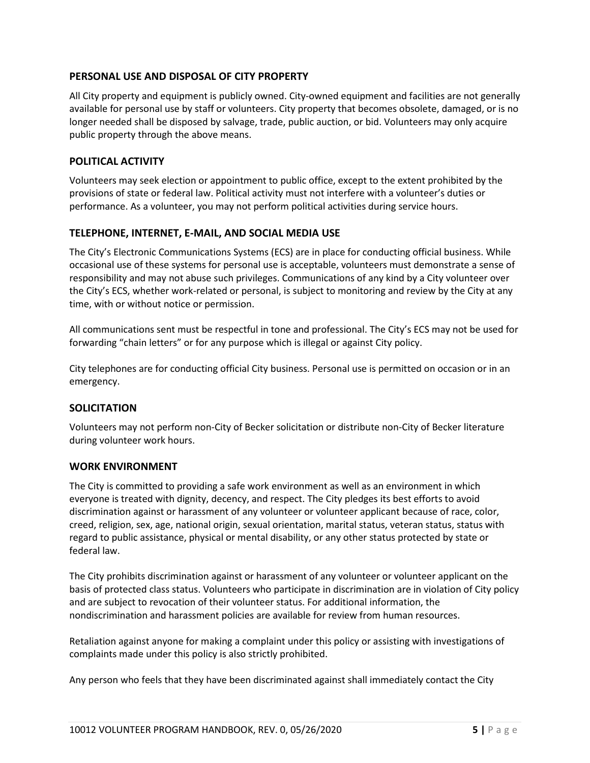# **PERSONAL USE AND DISPOSAL OF CITY PROPERTY**

All City property and equipment is publicly owned. City-owned equipment and facilities are not generally available for personal use by staff or volunteers. City property that becomes obsolete, damaged, or is no longer needed shall be disposed by salvage, trade, public auction, or bid. Volunteers may only acquire public property through the above means.

## **POLITICAL ACTIVITY**

Volunteers may seek election or appointment to public office, except to the extent prohibited by the provisions of state or federal law. Political activity must not interfere with a volunteer's duties or performance. As a volunteer, you may not perform political activities during service hours.

#### **TELEPHONE, INTERNET, E-MAIL, AND SOCIAL MEDIA USE**

The City's Electronic Communications Systems (ECS) are in place for conducting official business. While occasional use of these systems for personal use is acceptable, volunteers must demonstrate a sense of responsibility and may not abuse such privileges. Communications of any kind by a City volunteer over the City's ECS, whether work-related or personal, is subject to monitoring and review by the City at any time, with or without notice or permission.

All communications sent must be respectful in tone and professional. The City's ECS may not be used for forwarding "chain letters" or for any purpose which is illegal or against City policy.

City telephones are for conducting official City business. Personal use is permitted on occasion or in an emergency.

## **SOLICITATION**

Volunteers may not perform non-City of Becker solicitation or distribute non-City of Becker literature during volunteer work hours.

#### **WORK ENVIRONMENT**

The City is committed to providing a safe work environment as well as an environment in which everyone is treated with dignity, decency, and respect. The City pledges its best efforts to avoid discrimination against or harassment of any volunteer or volunteer applicant because of race, color, creed, religion, sex, age, national origin, sexual orientation, marital status, veteran status, status with regard to public assistance, physical or mental disability, or any other status protected by state or federal law.

The City prohibits discrimination against or harassment of any volunteer or volunteer applicant on the basis of protected class status. Volunteers who participate in discrimination are in violation of City policy and are subject to revocation of their volunteer status. For additional information, the nondiscrimination and harassment policies are available for review from human resources.

Retaliation against anyone for making a complaint under this policy or assisting with investigations of complaints made under this policy is also strictly prohibited.

Any person who feels that they have been discriminated against shall immediately contact the City